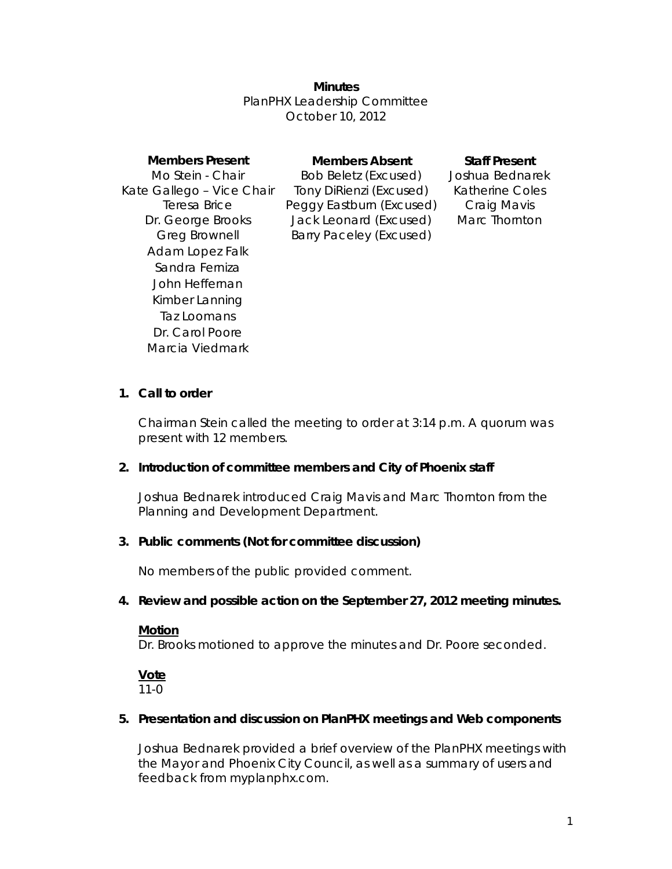### **Minutes**

PlanPHX Leadership Committee October 10, 2012

| <b>Members Present</b>    | <b>Members Absent</b>       | <b>Staff Present</b>   |
|---------------------------|-----------------------------|------------------------|
| Mo Stein - Chair          | <b>Bob Beletz (Excused)</b> | Joshua Bednarek        |
| Kate Gallego - Vice Chair | Tony DiRienzi (Excused)     | <b>Katherine Coles</b> |
| Teresa Brice              | Peggy Eastburn (Excused)    | Craig Mavis            |
| Dr. George Brooks         | Jack Leonard (Excused)      | Marc Thornton          |
| <b>Greg Brownell</b>      | Barry Paceley (Excused)     |                        |
| Adam Lopez Falk           |                             |                        |
| Sandra Ferniza            |                             |                        |
| John Heffernan            |                             |                        |
| Kimber Lanning            |                             |                        |
| Taz Loomans               |                             |                        |
| Dr. Carol Poore           |                             |                        |
| Marcia Viedmark           |                             |                        |

### **1. Call to order**

Chairman Stein called the meeting to order at 3:14 p.m. A quorum was present with 12 members.

### **2. Introduction of committee members and City of Phoenix staff**

Joshua Bednarek introduced Craig Mavis and Marc Thornton from the Planning and Development Department.

### **3. Public comments (Not for committee discussion)**

No members of the public provided comment.

### **4. Review and possible action on the September 27, 2012 meeting minutes.**

### **Motion**

Dr. Brooks motioned to approve the minutes and Dr. Poore seconded.

#### **Vote** 11-0

### **5. Presentation and discussion on PlanPHX meetings and Web components**

Joshua Bednarek provided a brief overview of the PlanPHX meetings with the Mayor and Phoenix City Council, as well as a summary of users and feedback from myplanphx.com.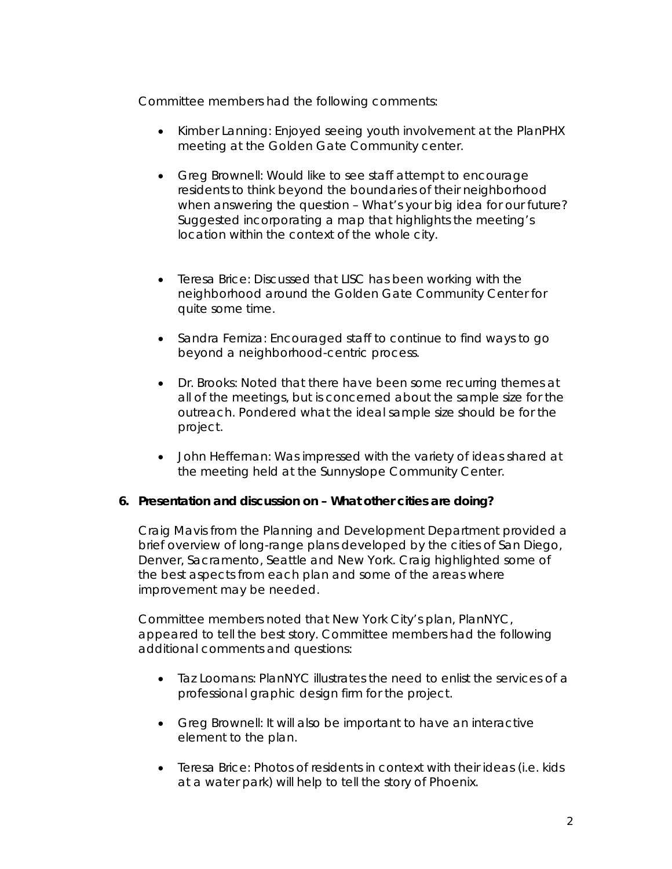Committee members had the following comments:

- Kimber Lanning: Enjoyed seeing youth involvement at the PlanPHX meeting at the Golden Gate Community center.
- Greg Brownell: Would like to see staff attempt to encourage residents to think beyond the boundaries of their neighborhood when answering the question – What's your big idea for our future? Suggested incorporating a map that highlights the meeting's location within the context of the whole city.
- Teresa Brice: Discussed that LISC has been working with the neighborhood around the Golden Gate Community Center for quite some time.
- Sandra Ferniza: Encouraged staff to continue to find ways to go beyond a neighborhood-centric process.
- Dr. Brooks: Noted that there have been some recurring themes at all of the meetings, but is concerned about the sample size for the outreach. Pondered what the ideal sample size should be for the project.
- John Heffernan: Was impressed with the variety of ideas shared at the meeting held at the Sunnyslope Community Center.

# **6. Presentation and discussion on – What other cities are doing?**

Craig Mavis from the Planning and Development Department provided a brief overview of long-range plans developed by the cities of San Diego, Denver, Sacramento, Seattle and New York. Craig highlighted some of the best aspects from each plan and some of the areas where improvement may be needed.

Committee members noted that New York City's plan, PlanNYC, appeared to tell the best story. Committee members had the following additional comments and questions:

- Taz Loomans: PlanNYC illustrates the need to enlist the services of a professional graphic design firm for the project.
- Greg Brownell: It will also be important to have an interactive element to the plan.
- Teresa Brice: Photos of residents in context with their ideas (i.e. kids at a water park) will help to tell the story of Phoenix.